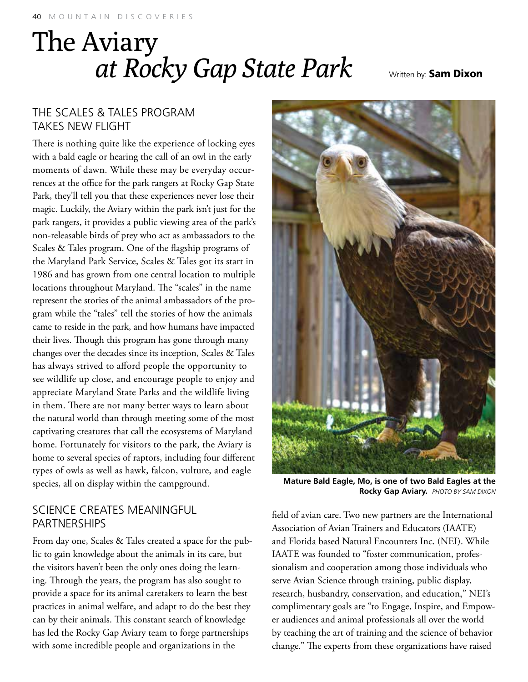# The Aviary<br>*at Rocky Gap State Park* Written by: Sam Dixon

## The Scales & Tales Program Takes New Flight

There is nothing quite like the experience of locking eyes with a bald eagle or hearing the call of an owl in the early moments of dawn. While these may be everyday occurrences at the office for the park rangers at Rocky Gap State Park, they'll tell you that these experiences never lose their magic. Luckily, the Aviary within the park isn't just for the park rangers, it provides a public viewing area of the park's non-releasable birds of prey who act as ambassadors to the Scales & Tales program. One of the flagship programs of the Maryland Park Service, Scales & Tales got its start in 1986 and has grown from one central location to multiple locations throughout Maryland. The "scales" in the name represent the stories of the animal ambassadors of the program while the "tales" tell the stories of how the animals came to reside in the park, and how humans have impacted their lives. Though this program has gone through many changes over the decades since its inception, Scales & Tales has always strived to afford people the opportunity to see wildlife up close, and encourage people to enjoy and appreciate Maryland State Parks and the wildlife living in them. There are not many better ways to learn about the natural world than through meeting some of the most captivating creatures that call the ecosystems of Maryland home. Fortunately for visitors to the park, the Aviary is home to several species of raptors, including four different types of owls as well as hawk, falcon, vulture, and eagle species, all on display within the campground.

**Mature Bald Eagle, Mo, is one of two Bald Eagles at the Rocky Gap Aviary.** *Photo by Sam Dixon*

field of avian care. Two new partners are the International Association of Avian Trainers and Educators (IAATE) and Florida based Natural Encounters Inc. (NEI). While IAATE was founded to "foster communication, professionalism and cooperation among those individuals who serve Avian Science through training, public display, research, husbandry, conservation, and education," NEI's complimentary goals are "to Engage, Inspire, and Empower audiences and animal professionals all over the world by teaching the art of training and the science of behavior change." The experts from these organizations have raised

## Science Creates Meaningful **PARTNERSHIPS**

From day one, Scales & Tales created a space for the public to gain knowledge about the animals in its care, but the visitors haven't been the only ones doing the learning. Through the years, the program has also sought to provide a space for its animal caretakers to learn the best practices in animal welfare, and adapt to do the best they can by their animals. This constant search of knowledge has led the Rocky Gap Aviary team to forge partnerships with some incredible people and organizations in the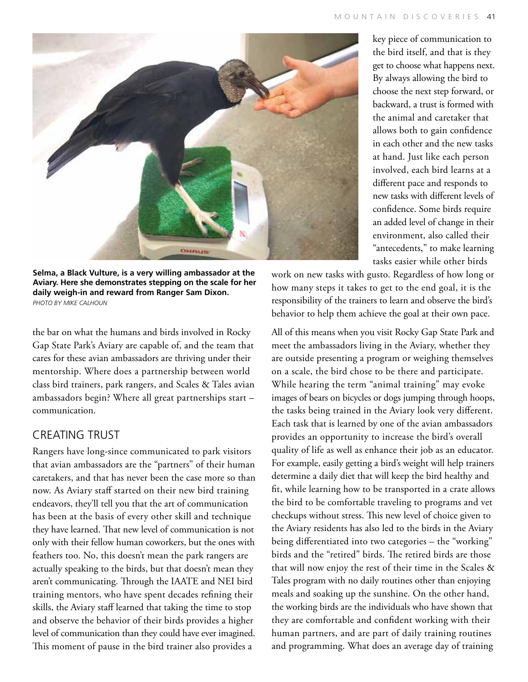

**Selma, a Black Vulture, is a very willing ambassador at the Aviary. Here she demonstrates stepping on the scale for her daily weigh-in and reward from Ranger Sam Dixon.** *Photo by Mike Calhoun*

the bar on what the humans and birds involved in Rocky Gap State Park's Aviary are capable of, and the team that cares for these avian ambassadors are thriving under their mentorship. Where does a partnership between world class bird trainers, park rangers, and Scales & Tales avian ambassadors begin? Where all great partnerships start – communication.

## Creating Trust

Rangers have long-since communicated to park visitors that avian ambassadors are the "partners" of their human caretakers, and that has never been the case more so than now. As Aviary staff started on their new bird training endeavors, they'll tell you that the art of communication has been at the basis of every other skill and technique they have learned. That new level of communication is not only with their fellow human coworkers, but the ones with feathers too. No, this doesn't mean the park rangers are actually speaking to the birds, but that doesn't mean they aren't communicating. Through the IAATE and NEI bird training mentors, who have spent decades refining their skills, the Aviary staff learned that taking the time to stop and observe the behavior of their birds provides a higher level of communication than they could have ever imagined. This moment of pause in the bird trainer also provides a

key piece of communication to the bird itself, and that is they get to choose what happens next. By always allowing the bird to choose the next step forward, or backward, a trust is formed with the animal and caretaker that allows both to gain confidence in each other and the new tasks at hand. Just like each person involved, each bird learns at a different pace and responds to new tasks with different levels of confidence. Some birds require an added level of change in their environment, also called their "antecedents," to make learning tasks easier while other birds

work on new tasks with gusto. Regardless of how long or how many steps it takes to get to the end goal, it is the responsibility of the trainers to learn and observe the bird's behavior to help them achieve the goal at their own pace.

All of this means when you visit Rocky Gap State Park and meet the ambassadors living in the Aviary, whether they are outside presenting a program or weighing themselves on a scale, the bird chose to be there and participate. While hearing the term "animal training" may evoke images of bears on bicycles or dogs jumping through hoops, the tasks being trained in the Aviary look very different. Each task that is learned by one of the avian ambassadors provides an opportunity to increase the bird's overall quality of life as well as enhance their job as an educator. For example, easily getting a bird's weight will help trainers determine a daily diet that will keep the bird healthy and fit, while learning how to be transported in a crate allows the bird to be comfortable traveling to programs and vet checkups without stress. This new level of choice given to the Aviary residents has also led to the birds in the Aviary being differentiated into two categories – the "working" birds and the "retired" birds. The retired birds are those that will now enjoy the rest of their time in the Scales & Tales program with no daily routines other than enjoying meals and soaking up the sunshine. On the other hand, the working birds are the individuals who have shown that they are comfortable and confident working with their human partners, and are part of daily training routines and programming. What does an average day of training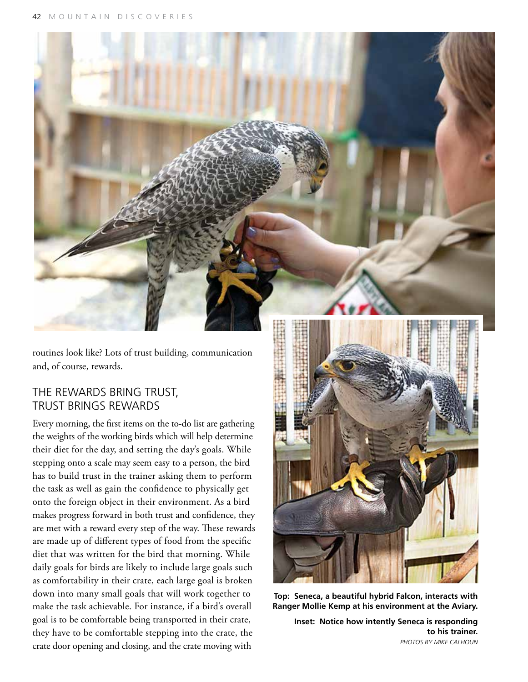

routines look like? Lots of trust building, communication and, of course, rewards.

#### The Rewards Bring Trust, Trust Brings Rewards

Every morning, the first items on the to-do list are gathering the weights of the working birds which will help determine their diet for the day, and setting the day's goals. While stepping onto a scale may seem easy to a person, the bird has to build trust in the trainer asking them to perform the task as well as gain the confidence to physically get onto the foreign object in their environment. As a bird makes progress forward in both trust and confidence, they are met with a reward every step of the way. These rewards are made up of different types of food from the specific diet that was written for the bird that morning. While daily goals for birds are likely to include large goals such as comfortability in their crate, each large goal is broken down into many small goals that will work together to make the task achievable. For instance, if a bird's overall goal is to be comfortable being transported in their crate, they have to be comfortable stepping into the crate, the crate door opening and closing, and the crate moving with



**Top: Seneca, a beautiful hybrid Falcon, interacts with Ranger Mollie Kemp at his environment at the Aviary.** 

**Inset: Notice how intently Seneca is responding to his trainer.** *Photos by Mike Calhoun*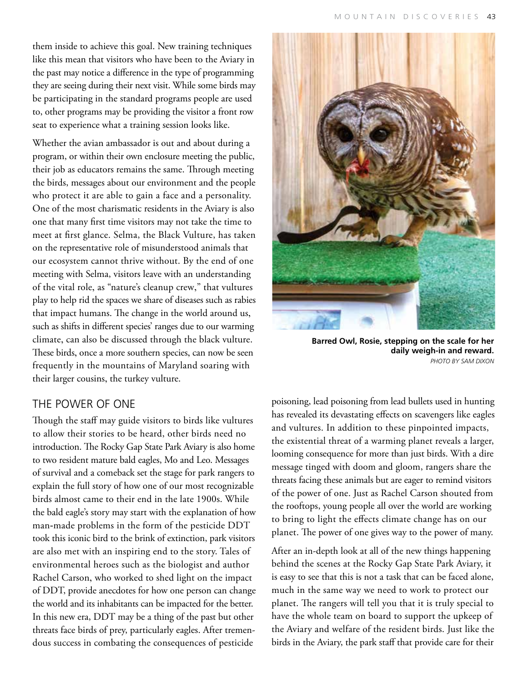them inside to achieve this goal. New training techniques like this mean that visitors who have been to the Aviary in the past may notice a difference in the type of programming they are seeing during their next visit. While some birds may be participating in the standard programs people are used to, other programs may be providing the visitor a front row seat to experience what a training session looks like.

Whether the avian ambassador is out and about during a program, or within their own enclosure meeting the public, their job as educators remains the same. Through meeting the birds, messages about our environment and the people who protect it are able to gain a face and a personality. One of the most charismatic residents in the Aviary is also one that many first time visitors may not take the time to meet at first glance. Selma, the Black Vulture, has taken on the representative role of misunderstood animals that our ecosystem cannot thrive without. By the end of one meeting with Selma, visitors leave with an understanding of the vital role, as "nature's cleanup crew," that vultures play to help rid the spaces we share of diseases such as rabies that impact humans. The change in the world around us, such as shifts in different species' ranges due to our warming climate, can also be discussed through the black vulture. These birds, once a more southern species, can now be seen frequently in the mountains of Maryland soaring with their larger cousins, the turkey vulture.

#### The Power of One

Though the staff may guide visitors to birds like vultures to allow their stories to be heard, other birds need no introduction. The Rocky Gap State Park Aviary is also home to two resident mature bald eagles, Mo and Leo. Messages of survival and a comeback set the stage for park rangers to explain the full story of how one of our most recognizable birds almost came to their end in the late 1900s. While the bald eagle's story may start with the explanation of how man-made problems in the form of the pesticide DDT took this iconic bird to the brink of extinction, park visitors are also met with an inspiring end to the story. Tales of environmental heroes such as the biologist and author Rachel Carson, who worked to shed light on the impact of DDT, provide anecdotes for how one person can change the world and its inhabitants can be impacted for the better. In this new era, DDT may be a thing of the past but other threats face birds of prey, particularly eagles. After tremendous success in combating the consequences of pesticide



**Barred Owl, Rosie, stepping on the scale for her daily weigh-in and reward.** *Photo by SAM DIXON*

poisoning, lead poisoning from lead bullets used in hunting has revealed its devastating effects on scavengers like eagles and vultures. In addition to these pinpointed impacts, the existential threat of a warming planet reveals a larger, looming consequence for more than just birds. With a dire message tinged with doom and gloom, rangers share the threats facing these animals but are eager to remind visitors of the power of one. Just as Rachel Carson shouted from the rooftops, young people all over the world are working to bring to light the effects climate change has on our planet. The power of one gives way to the power of many.

After an in-depth look at all of the new things happening behind the scenes at the Rocky Gap State Park Aviary, it is easy to see that this is not a task that can be faced alone, much in the same way we need to work to protect our planet. The rangers will tell you that it is truly special to have the whole team on board to support the upkeep of the Aviary and welfare of the resident birds. Just like the birds in the Aviary, the park staff that provide care for their